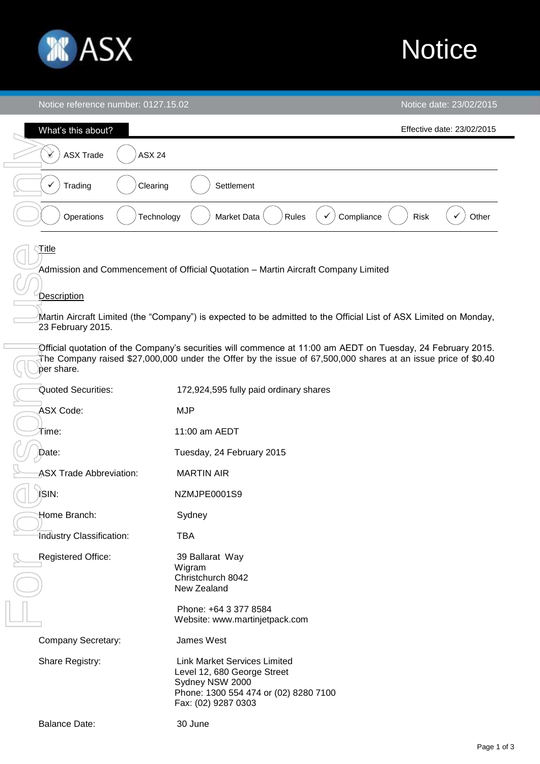

# **Notice**

e date: 23/02/2015.

| Notice reference number: 0127.15.02 | Notice date: 23/02/2015                                                                                                                                                                                                      |
|-------------------------------------|------------------------------------------------------------------------------------------------------------------------------------------------------------------------------------------------------------------------------|
| What's this about?                  | Effective date: 23/02/2015                                                                                                                                                                                                   |
| <b>ASX 24</b><br><b>ASX Trade</b>   |                                                                                                                                                                                                                              |
| Trading<br>Clearing<br>✓            | Settlement                                                                                                                                                                                                                   |
| Operations<br>Technology            | Market Data<br>Rules<br>Compliance<br><b>Risk</b><br>$\checkmark$<br>Other                                                                                                                                                   |
| $\n  Title\n$                       |                                                                                                                                                                                                                              |
|                                     | Admission and Commencement of Official Quotation - Martin Aircraft Company Limited                                                                                                                                           |
| Description                         |                                                                                                                                                                                                                              |
| 23 February 2015.                   | Martin Aircraft Limited (the "Company") is expected to be admitted to the Official List of ASX Limited on Monday,                                                                                                            |
| per share.                          | Official quotation of the Company's securities will commence at 11:00 am AEDT on Tuesday, 24 February 2015.<br>The Company raised \$27,000,000 under the Offer by the issue of 67,500,000 shares at an issue price of \$0.40 |
| Quoted Securities:                  | 172,924,595 fully paid ordinary shares                                                                                                                                                                                       |
| <b>ASX Code:</b>                    | <b>MJP</b>                                                                                                                                                                                                                   |
| Time:                               | 11:00 am AEDT                                                                                                                                                                                                                |
| Date:                               | Tuesday, 24 February 2015                                                                                                                                                                                                    |
| <b>ASX Trade Abbreviation:</b>      | <b>MARTIN AIR</b>                                                                                                                                                                                                            |
| ISIN:                               | NZMJPE0001S9                                                                                                                                                                                                                 |
| Home Branch:                        | Sydney                                                                                                                                                                                                                       |
| Industry Classification:            | <b>TBA</b>                                                                                                                                                                                                                   |
| Registered Office:                  | 39 Ballarat Way<br>Wigram<br>Christchurch 8042<br>New Zealand                                                                                                                                                                |
|                                     | Phone: +64 3 377 8584<br>Website: www.martinjetpack.com                                                                                                                                                                      |
| Company Secretary:                  | James West                                                                                                                                                                                                                   |
| Share Registry:                     | <b>Link Market Services Limited</b><br>Level 12, 680 George Street<br>Sydney NSW 2000<br>Phone: 1300 554 474 or (02) 8280 7100<br>Fax: (02) 9287 0303                                                                        |
| <b>Balance Date:</b>                | 30 June                                                                                                                                                                                                                      |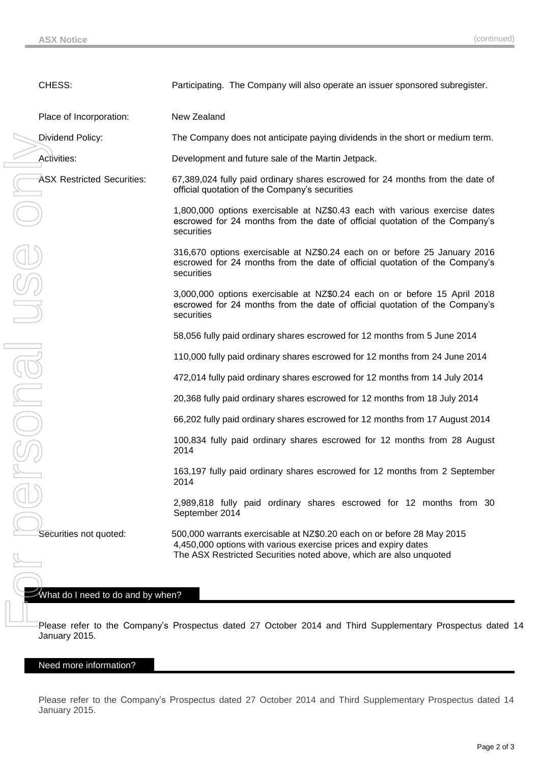| CHESS:                            | Participating. The Company will also operate an issuer sponsored subregister.                                                                                                                                   |
|-----------------------------------|-----------------------------------------------------------------------------------------------------------------------------------------------------------------------------------------------------------------|
| Place of Incorporation:           | New Zealand                                                                                                                                                                                                     |
| Dividend Policy:                  | The Company does not anticipate paying dividends in the short or medium term.                                                                                                                                   |
| Activities:                       | Development and future sale of the Martin Jetpack.                                                                                                                                                              |
| <b>ASX Restricted Securities:</b> | 67,389,024 fully paid ordinary shares escrowed for 24 months from the date of<br>official quotation of the Company's securities                                                                                 |
|                                   | 1,800,000 options exercisable at NZ\$0.43 each with various exercise dates<br>escrowed for 24 months from the date of official quotation of the Company's<br>securities                                         |
|                                   | 316,670 options exercisable at NZ\$0.24 each on or before 25 January 2016<br>escrowed for 24 months from the date of official quotation of the Company's<br>securities                                          |
|                                   | 3,000,000 options exercisable at NZ\$0.24 each on or before 15 April 2018<br>escrowed for 24 months from the date of official quotation of the Company's<br>securities                                          |
|                                   | 58,056 fully paid ordinary shares escrowed for 12 months from 5 June 2014                                                                                                                                       |
|                                   | 110,000 fully paid ordinary shares escrowed for 12 months from 24 June 2014                                                                                                                                     |
|                                   | 472,014 fully paid ordinary shares escrowed for 12 months from 14 July 2014                                                                                                                                     |
|                                   | 20,368 fully paid ordinary shares escrowed for 12 months from 18 July 2014                                                                                                                                      |
| DIDE                              | 66,202 fully paid ordinary shares escrowed for 12 months from 17 August 2014                                                                                                                                    |
|                                   | 100,834 fully paid ordinary shares escrowed for 12 months from 28 August<br>2014                                                                                                                                |
|                                   | 163,197 fully paid ordinary shares escrowed for 12 months from 2 September<br>2014                                                                                                                              |
|                                   | 2,989,818 fully paid ordinary shares escrowed for 12 months from 30<br>September 2014                                                                                                                           |
| Securities not quoted:            | 500,000 warrants exercisable at NZ\$0.20 each on or before 28 May 2015<br>4,450,000 options with various exercise prices and expiry dates<br>The ASX Restricted Securities noted above, which are also unquoted |
| What do I need to do and by when? |                                                                                                                                                                                                                 |
| January 2015.                     | Please refer to the Company's Prospectus dated 27 October 2014 and Third Supplementary Prospectus date                                                                                                          |
| Need more information?            |                                                                                                                                                                                                                 |
|                                   |                                                                                                                                                                                                                 |
| January 2015.                     | Please refer to the Company's Prospectus dated 27 October 2014 and Third Supplementary Prospectus dated                                                                                                         |

# $\mathcal W$ hat do I need to do and by when?

### Need more information?

Please refer to the Company's Prospectus dated 27 October 2014 and Third Supplementary Prospectus dated 14 January 2015.